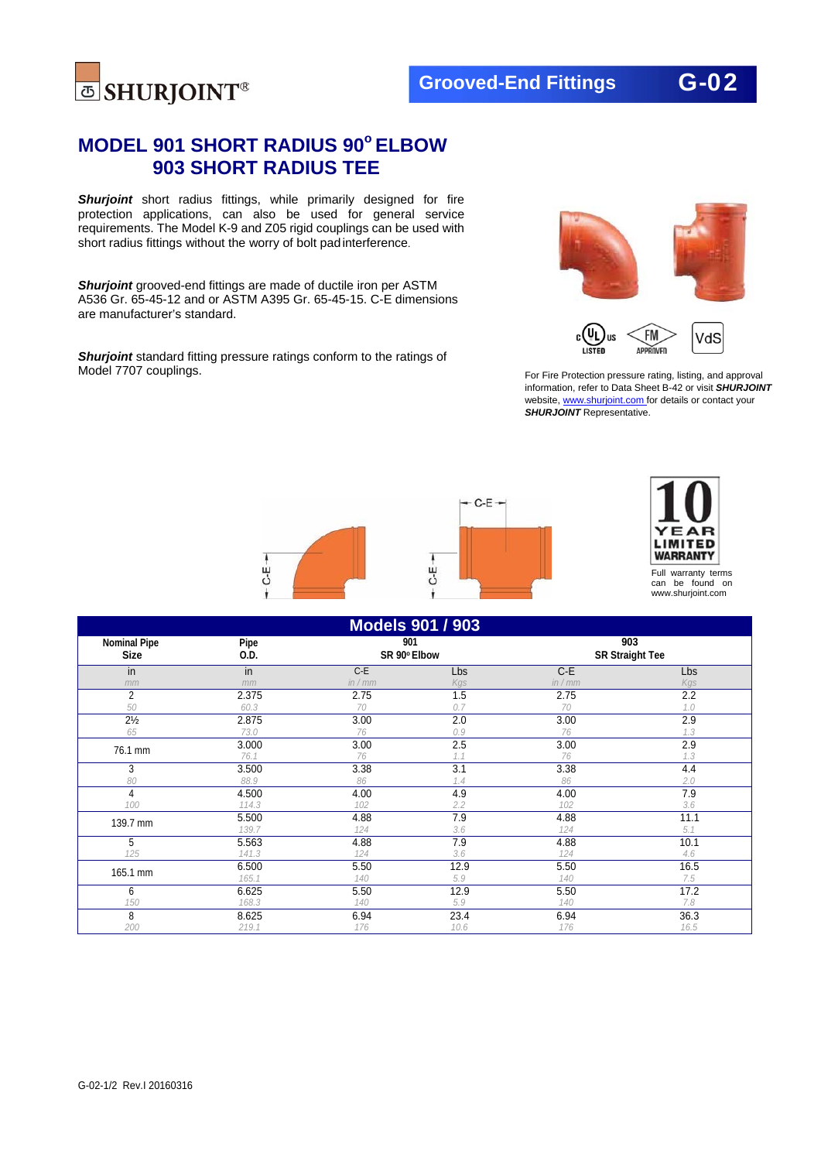

## **MODEL 901 SHORT RADIUS 90o ELBOW 903 SHORT RADIUS TEE**

*Shurjoint* short radius fittings, while primarily designed for fire protection applications, can also be used for general service requirements. The Model K-9 and Z05 rigid couplings can be used with short radius fittings without the worry of bolt pad interference.

*Shurjoint* grooved-end fittings are made of ductile iron per ASTM A536 Gr. 65-45-12 and or ASTM A395 Gr. 65-45-15. C-E dimensions are manufacturer's standard.

**Shurjoint** standard fitting pressure ratings conform to the ratings of Model 7707 couplings.



For Fire Protection pressure rating, listing, and approval information, refer to Data Sheet B-42 or visit *SHURJOINT*  website, www.shurjoint.com for details or contact your *SHURJOINT* Representative.





Full warranty terms can be found on www.shurjoint.com

| <b>Models 901 / 903</b>            |              |                     |      |                               |      |
|------------------------------------|--------------|---------------------|------|-------------------------------|------|
| <b>Nominal Pipe</b><br><b>Size</b> | Pipe<br>0.D. | 901<br>SR 90° Elbow |      | 903<br><b>SR Straight Tee</b> |      |
| in                                 | in           | $C-E$               | Lbs  | $C-E$                         | Lbs  |
| mm                                 | mm           | in / mm             | Kgs  | in / mm                       | Kgs  |
| 2                                  | 2.375        | 2.75                | 1.5  | 2.75                          | 2.2  |
| 50                                 | 60.3         | 70                  | 0.7  | 70                            | 1.0  |
| $2\frac{1}{2}$                     | 2.875        | 3.00                | 2.0  | 3.00                          | 2.9  |
| 65                                 | 73.0         | 76                  | 0.9  | 76                            | 1.3  |
| 76.1 mm                            | 3.000        | 3.00                | 2.5  | 3.00                          | 2.9  |
|                                    | 76.1         | 76                  | 1.1  | 76                            | 1.3  |
| 3                                  | 3.500        | 3.38                | 3.1  | 3.38                          | 4.4  |
| 80                                 | 88.9         | 86                  | 1.4  | 86                            | 2.0  |
| 4                                  | 4.500        | 4.00                | 4.9  | 4.00                          | 7.9  |
| 100                                | 114.3        | 102                 | 2.2  | 102                           | 3.6  |
| 139.7 mm                           | 5.500        | 4.88                | 7.9  | 4.88                          | 11.1 |
|                                    | 139.7        | 124                 | 3.6  | 124                           | 5.1  |
| 5                                  | 5.563        | 4.88                | 7.9  | 4.88                          | 10.1 |
| 125                                | 141.3        | 124                 | 3.6  | 124                           | 4.6  |
| 165.1 mm                           | 6.500        | 5.50                | 12.9 | 5.50                          | 16.5 |
|                                    | 165.1        | 140                 | 5.9  | 140                           | 7.5  |
| 6                                  | 6.625        | 5.50                | 12.9 | 5.50                          | 17.2 |
| 150                                | 168.3        | 140                 | 5.9  | 140                           | 7.8  |
| 8                                  | 8.625        | 6.94                | 23.4 | 6.94                          | 36.3 |
| 200                                | 219.1        | 176                 | 10.6 | 176                           | 16.5 |